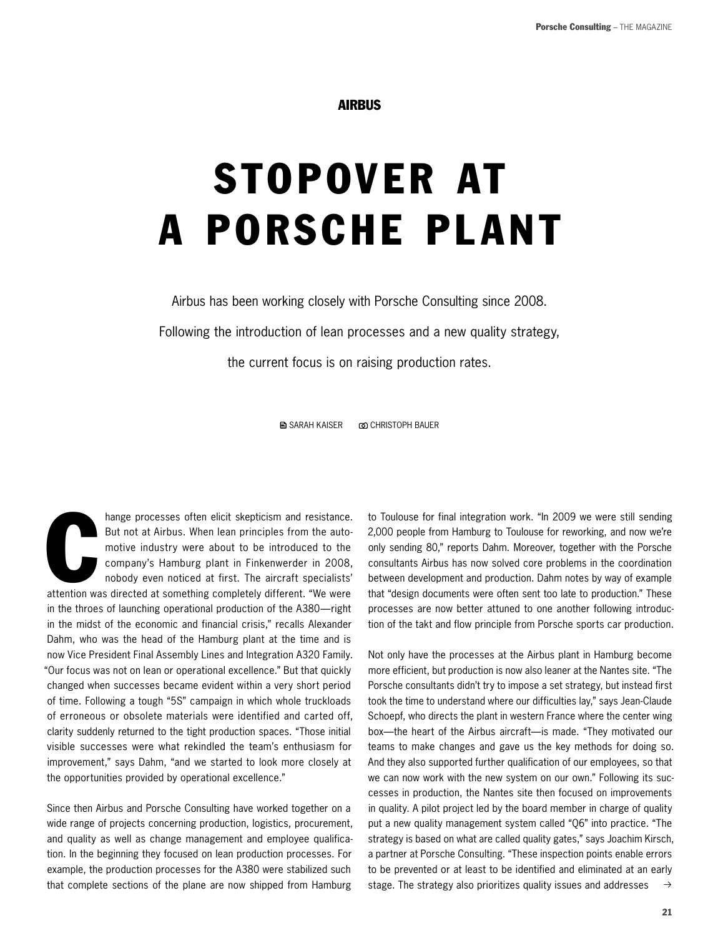AIRBUS

## StoPoveR At A PoRSChe PlAnt

Airbus has been working closely with Porsche Consulting since 2008.

Following the introduction of lean processes and a new quality strategy,

the current focus is on raising production rates.

**■ SARAH KAISER © CHRISTOPH BAUER** 

hange processes often elicit skepticism and resistance.<br>But not at Airbus. When lean principles from the auto-<br>motive industry were about to be introduced to the<br>company's Hamburg plant in Finkenwerder in 2008,<br>nobody even hange processes often elicit skepticism and resistance. But not at Airbus. When lean principles from the automotive industry were about to be introduced to the company's Hamburg plant in Finkenwerder in 2008, nobody even noticed at first. The aircraft specialists' in the throes of launching operational production of the A380—right in the midst of the economic and financial crisis," recalls Alexander Dahm, who was the head of the hamburg plant at the time and is now Vice President Final Assembly Lines and Integration A320 Family. "Our focus was not on lean or operational excellence." But that quickly changed when successes became evident within a very short period of time. Following a tough "5S" campaign in which whole truckloads of erroneous or obsolete materials were identified and carted off, clarity suddenly returned to the tight production spaces. "Those initial visible successes were what rekindled the team's enthusiasm for improvement," says Dahm, "and we started to look more closely at the opportunities provided by operational excellence."

Since then Airbus and Porsche Consulting have worked together on a wide range of projects concerning production, logistics, procurement, and quality as well as change management and employee qualification. In the beginning they focused on lean production processes. For example, the production processes for the A380 were stabilized such that complete sections of the plane are now shipped from hamburg

to Toulouse for final integration work. "In 2009 we were still sending 2,000 people from Hamburg to Toulouse for reworking, and now we're only sending 80," reports Dahm. Moreover, together with the Porsche consultants Airbus has now solved core problems in the coordination between development and production. Dahm notes by way of example that "design documents were often sent too late to production." These processes are now better attuned to one another following introduction of the takt and flow principle from Porsche sports car production.

 $\rightarrow$ Not only have the processes at the Airbus plant in hamburg become more efficient, but production is now also leaner at the Nantes site. "The Porsche consultants didn't try to impose a set strategy, but instead first took the time to understand where our difficulties lay," says Jean-Claude Schoepf, who directs the plant in western France where the center wing box—the heart of the Airbus aircraft—is made. "They motivated our teams to make changes and gave us the key methods for doing so. And they also supported further qualification of our employees, so that we can now work with the new system on our own." Following its successes in production, the Nantes site then focused on improvements in quality. A pilot project led by the board member in charge of quality put a new quality management system called "Q6" into practice. "The strategy is based on what are called quality gates," says Joachim Kirsch, a partner at Porsche Consulting. "These inspection points enable errors to be prevented or at least to be identified and eliminated at an early stage. The strategy also prioritizes quality issues and addresses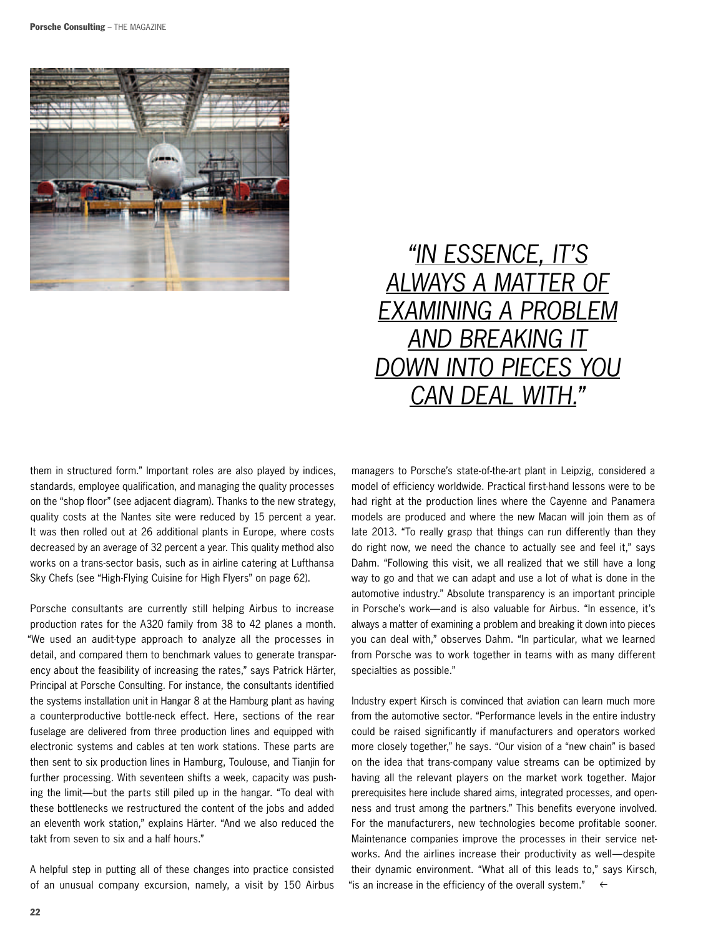

## "IN ESSENCE, IT'S always a matter of examInIng a problem **AND BREAKING IT** DOWN INTO PIECES YOU CAN DEAL WITH."

them in structured form." Important roles are also played by indices, standards, employee qualification, and managing the quality processes on the "shop floor" (see adjacent diagram). Thanks to the new strategy, quality costs at the Nantes site were reduced by 15 percent a year. It was then rolled out at 26 additional plants in Europe, where costs decreased by an average of 32 percent a year. This quality method also works on a trans-sector basis, such as in airline catering at Lufthansa Sky Chefs (see "high-Flying Cuisine for high Flyers" on page 62).

Porsche consultants are currently still helping Airbus to increase production rates for the A320 family from 38 to 42 planes a month. "We used an audit-type approach to analyze all the processes in detail, and compared them to benchmark values to generate transparency about the feasibility of increasing the rates," says Patrick härter, Principal at Porsche Consulting. For instance, the consultants identified the systems installation unit in hangar 8 at the hamburg plant as having a counterproductive bottle-neck effect. here, sections of the rear fuselage are delivered from three production lines and equipped with electronic systems and cables at ten work stations. These parts are then sent to six production lines in Hamburg, Toulouse, and Tianjin for further processing. With seventeen shifts a week, capacity was pushing the limit—but the parts still piled up in the hangar. "To deal with these bottlenecks we restructured the content of the jobs and added an eleventh work station," explains härter. "And we also reduced the takt from seven to six and a half hours."

A helpful step in putting all of these changes into practice consisted of an unusual company excursion, namely, a visit by 150 Airbus

managers to Porsche's state-of-the-art plant in Leipzig, considered a model of efficiency worldwide. Practical first-hand lessons were to be had right at the production lines where the Cayenne and Panamera models are produced and where the new Macan will join them as of late 2013. "To really grasp that things can run differently than they do right now, we need the chance to actually see and feel it," says Dahm. "Following this visit, we all realized that we still have a long way to go and that we can adapt and use a lot of what is done in the automotive industry." Absolute transparency is an important principle in Porsche's work—and is also valuable for Airbus. "In essence, it's always a matter of examining a problem and breaking it down into pieces you can deal with," observes Dahm. "In particular, what we learned from Porsche was to work together in teams with as many different specialties as possible."

Industry expert Kirsch is convinced that aviation can learn much more from the automotive sector. "Performance levels in the entire industry could be raised significantly if manufacturers and operators worked more closely together," he says. "Our vision of a "new chain" is based on the idea that trans-company value streams can be optimized by having all the relevant players on the market work together. Major prerequisites here include shared aims, integrated processes, and openness and trust among the partners." This benefits everyone involved. For the manufacturers, new technologies become profitable sooner. Maintenance companies improve the processes in their service networks. And the airlines increase their productivity as well—despite their dynamic environment. "What all of this leads to," says Kirsch, "is an increase in the efficiency of the overall system."  $\leftarrow$